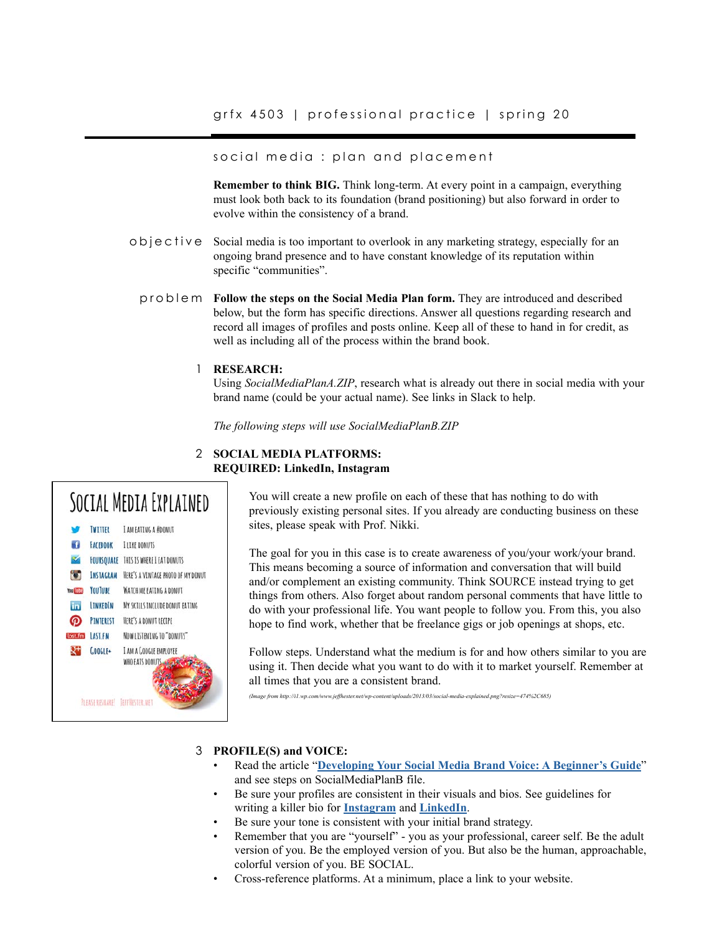### social media : plan and placement

**Remember to think BIG.** Think long-term. At every point in a campaign, everything must look both back to its foundation (brand positioning) but also forward in order to evolve within the consistency of a brand.

- Social media is too important to overlook in any marketing strategy, especially for an ongoing brand presence and to have constant knowledge of its reputation within specific "communities". objective
	- **Follow the steps on the Social Media Plan form.** They are introduced and described below, but the form has specific directions. Answer all questions regarding research and record all images of profiles and posts online. Keep all of these to hand in for credit, as well as including all of the process within the brand book. problem

### **RESEARCH:** 1

Using *SocialMediaPlanA.ZIP*, research what is already out there in social media with your brand name (could be your actual name). See links in Slack to help.

*The following steps will use SocialMediaPlanB.ZIP* 

### **SOCIAL MEDIA PLATFORMS:** 2 **REQUIRED: LinkedIn, Instagram**



You will create a new profile on each of these that has nothing to do with previously existing personal sites. If you already are conducting business on these sites, please speak with Prof. Nikki.

The goal for you in this case is to create awareness of you/your work/your brand. This means becoming a source of information and conversation that will build and/or complement an existing community. Think SOURCE instead trying to get things from others. Also forget about random personal comments that have little to do with your professional life. You want people to follow you. From this, you also hope to find work, whether that be freelance gigs or job openings at shops, etc.

Follow steps. Understand what the medium is for and how others similar to you are using it. Then decide what you want to do with it to market yourself. Remember at all times that you are a consistent brand.

*(Image from http://i1.wp.com/www.jeffhester.net/wp-content/uploads/2013/03/social-media-explained.png?resize=474%2C685)*

### **PROFILE(S) and VOICE:** 3

- Read the article "**[Developing Your Social Media Brand Voice: A Beginner's Guide](https://revive.social/social-media-brand-voice/?fbclid=IwAR3ZpcJXeHcwFGMky4zRuvjpMiFO9P4H0HjgddyCSPSASS3IFwdhnI9TE7A)**" and see steps on SocialMediaPlanB file.
- Be sure your profiles are consistent in their visuals and bios. See guidelines for writing a killer bio for **[Instagram](https://later.com/blog/how-to-make-a-good-impression-with-your-instagram-bio/)** and **[LinkedIn](https://www.jobscan.co/blog/linkedin-summary-examples/)**.
- Be sure your tone is consistent with your initial brand strategy.
- Remember that you are "yourself" you as your professional, career self. Be the adult version of you. Be the employed version of you. But also be the human, approachable, colorful version of you. BE SOCIAL.
- Cross-reference platforms. At a minimum, place a link to your website.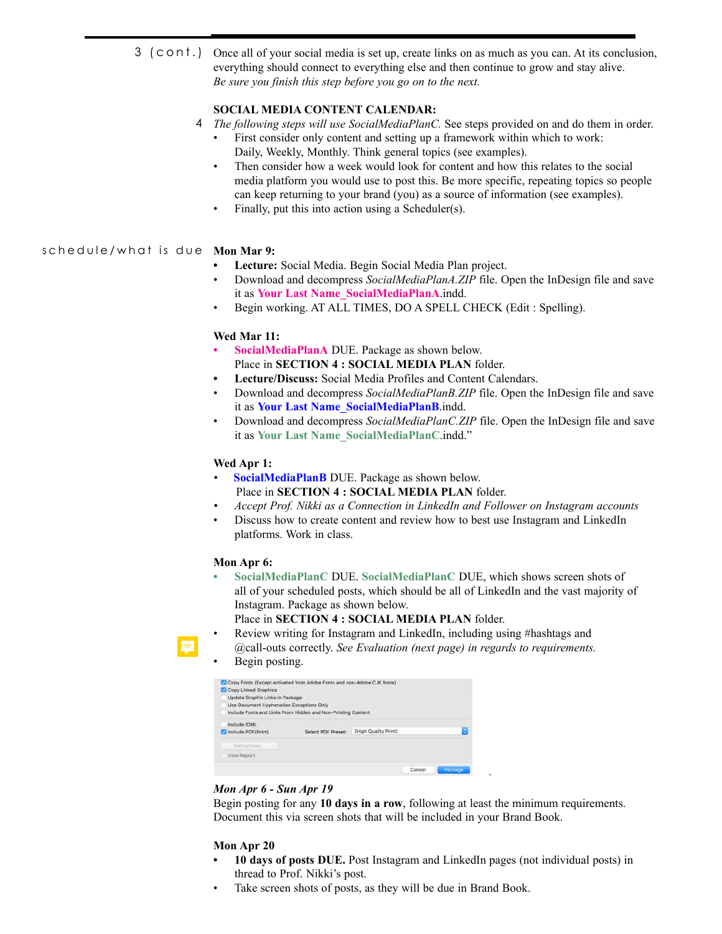Once all of your social media is set up, create links on as much as you can. At its conclusion, everything should connect to everything else and then continue to grow and stay alive. *Be sure you finish this step before you go on to the next.* 3 (cont.)

# **SOCIAL MEDIA CONTENT CALENDAR:**

- *The following steps will use SocialMediaPlanC.* See steps provided on and do them in order. 4
	- First consider only content and setting up a framework within which to work: Daily, Weekly, Monthly. Think general topics (see examples).
	- Then consider how a week would look for content and how this relates to the social media platform you would use to post this. Be more specific, repeating topics so people can keep returning to your brand (you) as a source of information (see examples).
	- Finally, put this into action using a Scheduler(s).

## **Mon Mar 9:** schedule/what is due

- **• Lecture:** Social Media. Begin Social Media Plan project.
- Download and decompress *SocialMediaPlanA.ZIP* file. Open the InDesign file and save it as **Your Last Name\_SocialMediaPlanA**.indd.
- Begin working. AT ALL TIMES, DO A SPELL CHECK (Edit : Spelling).

### **Wed Mar 11:**

- **• SocialMediaPlanA** DUE. Package as shown below. Place in **SECTION 4 : SOCIAL MEDIA PLAN** folder.
- **• Lecture/Discuss:** Social Media Profiles and Content Calendars.
- Download and decompress *SocialMediaPlanB.ZIP* file. Open the InDesign file and save it as **Your Last Name\_SocialMediaPlanB**.indd.
- Download and decompress *SocialMediaPlanC.ZIP* file. Open the InDesign file and save it as **Your Last Name\_SocialMediaPlanC**.indd."

### **Wed Apr 1:**

- **SocialMediaPlanB** DUE. Package as shown below. Place in **SECTION 4 : SOCIAL MEDIA PLAN** folder.
- *• Accept Prof. Nikki as a Connection in LinkedIn and Follower on Instagram accounts*
- Discuss how to create content and review how to best use Instagram and LinkedIn platforms. Work in class.

### **Mon Apr 6:**

**• SocialMediaPlanC** DUE. **SocialMediaPlanC** DUE, which shows screen shots of all of your scheduled posts, which should be all of LinkedIn and the vast majority of Instagram. Package as shown below.

Place in **SECTION 4 : SOCIAL MEDIA PLAN** folder.

- Review writing for Instagram and LinkedIn, including using #hashtags and @call-outs correctly. *See Evaluation (next page) in regards to requirements.*
	- Begin posting.

| ø<br><b>Copy Linked Graphics</b><br>м<br>Update Graphic Links In Package<br>Use Document Hyphenation Exceptions Only | Copy Fonts (Except activated from Adobe Fonts and non-Adobe CJK fonts)<br>Include Fonts and Links From Hidden and Non-Printing Content |                      |        |         |
|----------------------------------------------------------------------------------------------------------------------|----------------------------------------------------------------------------------------------------------------------------------------|----------------------|--------|---------|
| Include IDML<br>Include PDF(Print)                                                                                   | Select PDF Preset:                                                                                                                     | [High Quality Print] |        | c       |
| Instructions                                                                                                         |                                                                                                                                        |                      |        |         |
| <b>View Report</b>                                                                                                   |                                                                                                                                        |                      |        |         |
|                                                                                                                      |                                                                                                                                        |                      | Cancel | Package |

### *Mon Apr 6 - Sun Apr 19*

Begin posting for any **10 days in a row**, following at least the minimum requirements. Document this via screen shots that will be included in your Brand Book.

*.*

### **Mon Apr 20**

- **• 10 days of posts DUE.** Post Instagram and LinkedIn pages (not individual posts) in thread to Prof. Nikki's post.
- Take screen shots of posts, as they will be due in Brand Book.